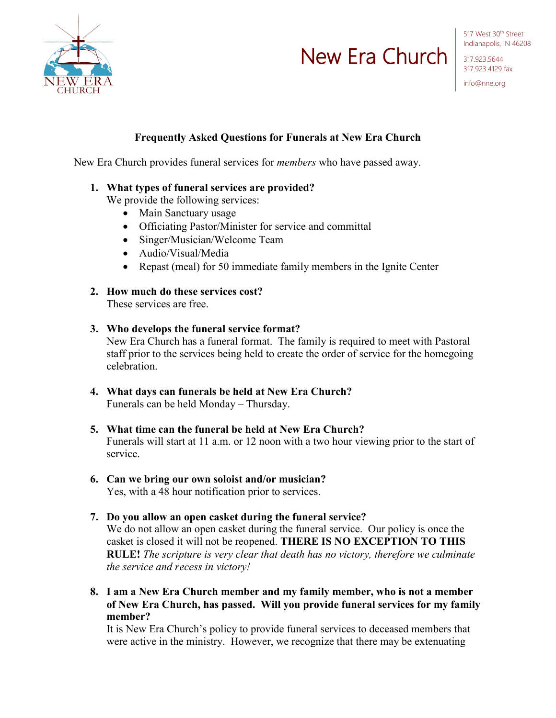

# New Era Church

517 West 30<sup>th</sup> Street Indianapolis, IN 46208

317.923.5644 317.923.4129 fax info@nne.org

## **Frequently Asked Questions for Funerals at New Era Church**

New Era Church provides funeral services for *members* who have passed away.

#### **1. What types of funeral services are provided?**

We provide the following services:

- Main Sanctuary usage
- Officiating Pastor/Minister for service and committal
- Singer/Musician/Welcome Team
- Audio/Visual/Media
- Repast (meal) for 50 immediate family members in the Ignite Center
- **2. How much do these services cost?** These services are free.
- **3. Who develops the funeral service format?** New Era Church has a funeral format. The family is required to meet with Pastoral staff prior to the services being held to create the order of service for the homegoing celebration.
- **4. What days can funerals be held at New Era Church?** Funerals can be held Monday – Thursday.
- **5. What time can the funeral be held at New Era Church?** Funerals will start at 11 a.m. or 12 noon with a two hour viewing prior to the start of service.
- **6. Can we bring our own soloist and/or musician?** Yes, with a 48 hour notification prior to services.
- **7. Do you allow an open casket during the funeral service?** We do not allow an open casket during the funeral service. Our policy is once the casket is closed it will not be reopened. **THERE IS NO EXCEPTION TO THIS RULE!** *The scripture is very clear that death has no victory, therefore we culminate the service and recess in victory!*
- **8. I am a New Era Church member and my family member, who is not a member of New Era Church, has passed. Will you provide funeral services for my family member?**

It is New Era Church's policy to provide funeral services to deceased members that were active in the ministry. However, we recognize that there may be extenuating